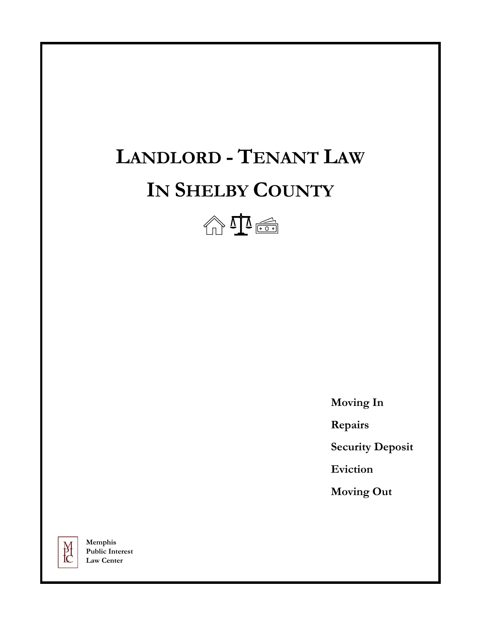# **LANDLORD - TENANT LAW IN SHELBY COUNTY**



 **Moving In**

 **Repairs**

 **Security Deposit**

 **Eviction**

 **Moving Out**



**Memphis Public Interest Law Center**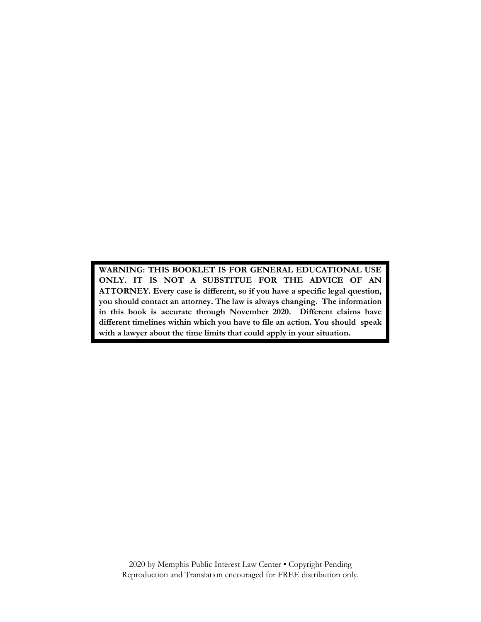**WARNING: THIS BOOKLET IS FOR GENERAL EDUCATIONAL USE ONLY. IT IS NOT A SUBSTITUE FOR THE ADVICE OF AN ATTORNEY. Every case is different, so if you have a specific legal question, you should contact an attorney. The law is always changing. The information in this book is accurate through November 2020. Different claims have different timelines within which you have to file an action. You should speak with a lawyer about the time limits that could apply in your situation.**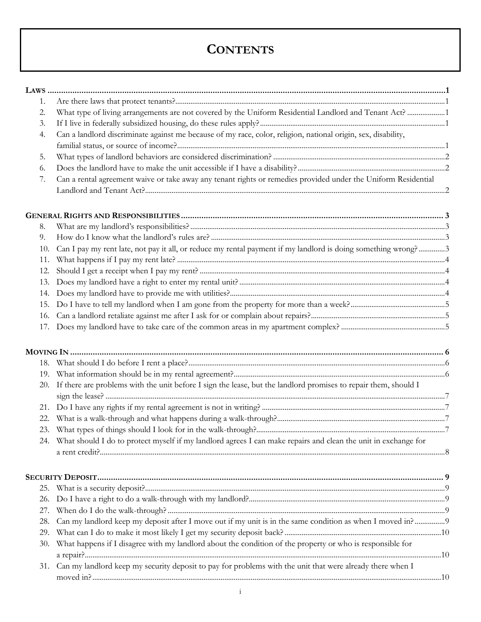# **CONTENTS**

| 1.  |                                                                                                                    |  |
|-----|--------------------------------------------------------------------------------------------------------------------|--|
| 2.  | What type of living arrangements are not covered by the Uniform Residential Landlord and Tenant Act? 1             |  |
| 3.  |                                                                                                                    |  |
| 4.  | Can a landlord discriminate against me because of my race, color, religion, national origin, sex, disability,      |  |
|     |                                                                                                                    |  |
| 5.  |                                                                                                                    |  |
| 6.  |                                                                                                                    |  |
| 7.  | Can a rental agreement waive or take away any tenant rights or remedies provided under the Uniform Residential     |  |
|     |                                                                                                                    |  |
|     |                                                                                                                    |  |
| 8.  |                                                                                                                    |  |
| 9.  |                                                                                                                    |  |
| 10. | Can I pay my rent late, not pay it all, or reduce my rental payment if my landlord is doing something wrong?3      |  |
| 11. |                                                                                                                    |  |
| 12. |                                                                                                                    |  |
| 13. |                                                                                                                    |  |
| 14. |                                                                                                                    |  |
| 15. |                                                                                                                    |  |
| 16. |                                                                                                                    |  |
|     |                                                                                                                    |  |
|     |                                                                                                                    |  |
|     |                                                                                                                    |  |
|     |                                                                                                                    |  |
| 20. | If there are problems with the unit before I sign the lease, but the landlord promises to repair them, should I    |  |
| 21. |                                                                                                                    |  |
| 22. |                                                                                                                    |  |
|     |                                                                                                                    |  |
|     | 24. What should I do to protect myself if my landlord agrees I can make repairs and clean the unit in exchange for |  |
|     |                                                                                                                    |  |
|     |                                                                                                                    |  |
|     |                                                                                                                    |  |
| 26. |                                                                                                                    |  |
| 27. |                                                                                                                    |  |
| 28. | Can my landlord keep my deposit after I move out if my unit is in the same condition as when I moved in?9          |  |
| 29. |                                                                                                                    |  |
| 30. | What happens if I disagree with my landlord about the condition of the property or who is responsible for          |  |
|     |                                                                                                                    |  |
|     | 31. Can my landlord keep my security deposit to pay for problems with the unit that were already there when I      |  |
|     |                                                                                                                    |  |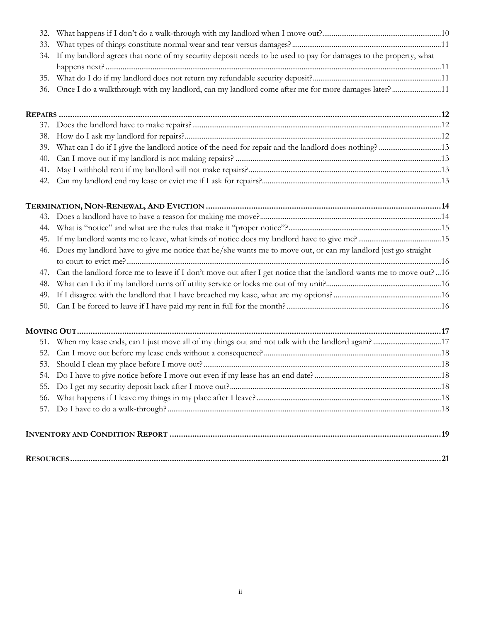| 56. |                                                                                                                     |  |
|-----|---------------------------------------------------------------------------------------------------------------------|--|
| 55. |                                                                                                                     |  |
|     |                                                                                                                     |  |
|     |                                                                                                                     |  |
|     |                                                                                                                     |  |
|     |                                                                                                                     |  |
|     |                                                                                                                     |  |
|     |                                                                                                                     |  |
| 50. |                                                                                                                     |  |
| 49. |                                                                                                                     |  |
| 48. |                                                                                                                     |  |
| 47. | Can the landlord force me to leave if I don't move out after I get notice that the landlord wants me to move out?16 |  |
| 46. | Does my landlord have to give me notice that he/she wants me to move out, or can my landlord just go straight       |  |
| 45. |                                                                                                                     |  |
| 44. |                                                                                                                     |  |
|     |                                                                                                                     |  |
|     |                                                                                                                     |  |
| 42. |                                                                                                                     |  |
| 41. |                                                                                                                     |  |
| 40. |                                                                                                                     |  |
| 39. |                                                                                                                     |  |
| 38. |                                                                                                                     |  |
|     |                                                                                                                     |  |
|     |                                                                                                                     |  |
| 36. |                                                                                                                     |  |
| 35. | Once I do a walkthrough with my landlord, can my landlord come after me for more damages later?11                   |  |
|     |                                                                                                                     |  |
| 34. | If my landlord agrees that none of my security deposit needs to be used to pay for damages to the property, what    |  |
| 33. |                                                                                                                     |  |
|     |                                                                                                                     |  |
| 32. |                                                                                                                     |  |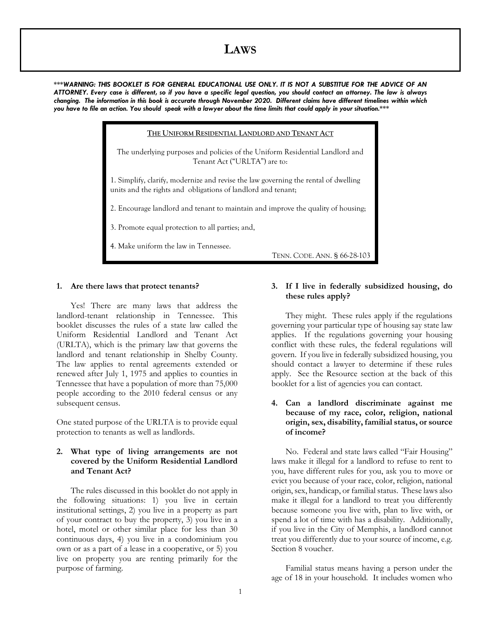# **LAWS**

*\*\*\*WARNING: THIS BOOKLET IS FOR GENERAL EDUCATIONAL USE ONLY. IT IS NOT A SUBSTITUE FOR THE ADVICE OF AN ATTORNEY. Every case is different, so if you have a specific legal question, you should contact an attorney. The law is always changing. The information in this book is accurate through November 2020. Different claims have different timelines within which you have to file an action. You should speak with a lawyer about the time limits that could apply in your situation.\*\*\**

> **THE UNIFORM RESIDENTIAL LANDLORD AND TENANT ACT** The underlying purposes and policies of the Uniform Residential Landlord and Tenant Act ("URLTA") are to: 1. Simplify, clarify, modernize and revise the law governing the rental of dwelling units and the rights and obligations of landlord and tenant; 2. Encourage landlord and tenant to maintain and improve the quality of housing; 3. Promote equal protection to all parties; and, 4. Make uniform the law in Tennessee. TENN. CODE. ANN. § 66-28-103

#### **1. Are there laws that protect tenants?**

Yes! There are many laws that address the landlord-tenant relationship in Tennessee. This booklet discusses the rules of a state law called the Uniform Residential Landlord and Tenant Act (URLTA), which is the primary law that governs the landlord and tenant relationship in Shelby County. The law applies to rental agreements extended or renewed after July 1, 1975 and applies to counties in Tennessee that have a population of more than 75,000 people according to the 2010 federal census or any subsequent census.

One stated purpose of the URLTA is to provide equal protection to tenants as well as landlords.

#### **2. What type of living arrangements are not covered by the Uniform Residential Landlord and Tenant Act?**

The rules discussed in this booklet do not apply in the following situations: 1) you live in certain institutional settings, 2) you live in a property as part of your contract to buy the property, 3) you live in a hotel, motel or other similar place for less than 30 continuous days, 4) you live in a condominium you own or as a part of a lease in a cooperative, or 5) you live on property you are renting primarily for the purpose of farming.

#### **3. If I live in federally subsidized housing, do these rules apply?**

They might. These rules apply if the regulations governing your particular type of housing say state law applies. If the regulations governing your housing conflict with these rules, the federal regulations will govern. If you live in federally subsidized housing, you should contact a lawyer to determine if these rules apply. See the Resource section at the back of this booklet for a list of agencies you can contact.

## **4. Can a landlord discriminate against me because of my race, color, religion, national origin, sex, disability, familial status, or source of income?**

No. Federal and state laws called "Fair Housing" laws make it illegal for a landlord to refuse to rent to you, have different rules for you, ask you to move or evict you because of your race, color, religion, national origin, sex, handicap, or familial status. These laws also make it illegal for a landlord to treat you differently because someone you live with, plan to live with, or spend a lot of time with has a disability. Additionally, if you live in the City of Memphis, a landlord cannot treat you differently due to your source of income, e.g. Section 8 voucher.

Familial status means having a person under the age of 18 in your household. It includes women who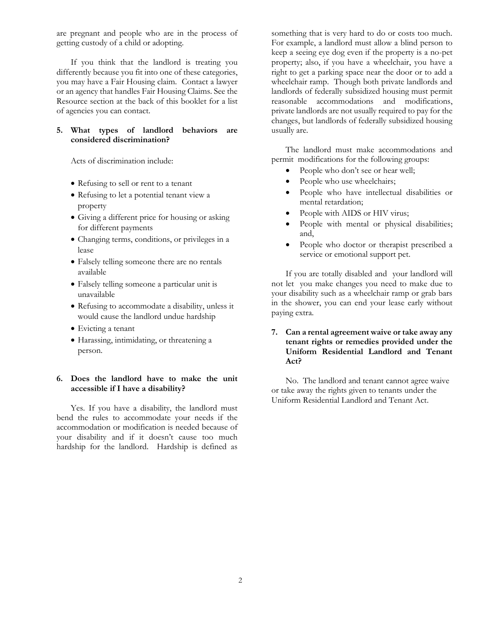are pregnant and people who are in the process of getting custody of a child or adopting.

If you think that the landlord is treating you differently because you fit into one of these categories, you may have a Fair Housing claim. Contact a lawyer or an agency that handles Fair Housing Claims. See the Resource section at the back of this booklet for a list of agencies you can contact.

#### **5. What types of landlord behaviors are considered discrimination?**

Acts of discrimination include:

- Refusing to sell or rent to a tenant
- Refusing to let a potential tenant view a property
- Giving a different price for housing or asking for different payments
- Changing terms, conditions, or privileges in a lease
- Falsely telling someone there are no rentals available
- Falsely telling someone a particular unit is unavailable
- Refusing to accommodate a disability, unless it would cause the landlord undue hardship
- Evicting a tenant
- Harassing, intimidating, or threatening a person.

# **6. Does the landlord have to make the unit accessible if I have a disability?**

Yes. If you have a disability, the landlord must bend the rules to accommodate your needs if the accommodation or modification is needed because of your disability and if it doesn't cause too much hardship for the landlord. Hardship is defined as

something that is very hard to do or costs too much. For example, a landlord must allow a blind person to keep a seeing eye dog even if the property is a no-pet property; also, if you have a wheelchair, you have a right to get a parking space near the door or to add a wheelchair ramp. Though both private landlords and landlords of federally subsidized housing must permit reasonable accommodations and modifications, private landlords are not usually required to pay for the changes, but landlords of federally subsidized housing usually are.

The landlord must make accommodations and permit modifications for the following groups:

- People who don't see or hear well;
- People who use wheelchairs;
- People who have intellectual disabilities or mental retardation;
- People with AIDS or HIV virus;
- People with mental or physical disabilities; and,
- People who doctor or therapist prescribed a service or emotional support pet.

If you are totally disabled and your landlord will not let you make changes you need to make due to your disability such as a wheelchair ramp or grab bars in the shower, you can end your lease early without paying extra.

# **7. Can a rental agreement waive or take away any tenant rights or remedies provided under the Uniform Residential Landlord and Tenant Act?**

No. The landlord and tenant cannot agree waive or take away the rights given to tenants under the Uniform Residential Landlord and Tenant Act.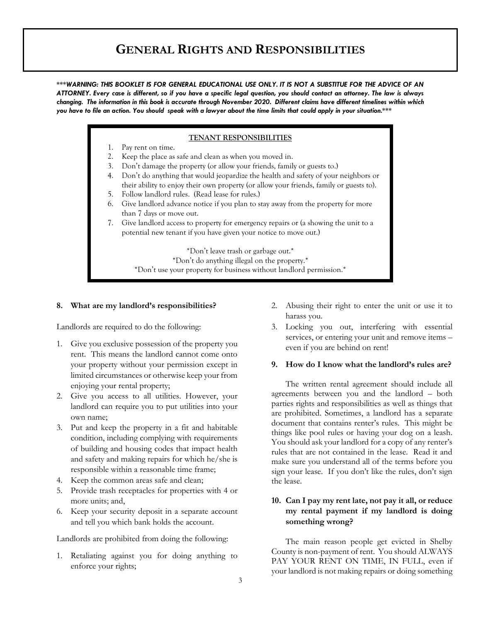# **GENERAL RIGHTS AND RESPONSIBILITIES**

*\*\*\*WARNING: THIS BOOKLET IS FOR GENERAL EDUCATIONAL USE ONLY. IT IS NOT A SUBSTITUE FOR THE ADVICE OF AN ATTORNEY. Every case is different, so if you have a specific legal question, you should contact an attorney. The law is always changing. The information in this book is accurate through November 2020. Different claims have different timelines within which you have to file an action. You should speak with a lawyer about the time limits that could apply in your situation.\*\*\**

#### **TENANT RESPONSIBILITIES**

- 1. Pay rent on time.
- 2. Keep the place as safe and clean as when you moved in.
- 3. Don't damage the property (or allow your friends, family or guests to.)
- 4. Don't do anything that would jeopardize the health and safety of your neighbors or their ability to enjoy their own property (or allow your friends, family or guests to).
- 5. Follow landlord rules. (Read lease for rules.)
- 6. Give landlord advance notice if you plan to stay away from the property for more than 7 days or move out.
- 7. Give landlord access to property for emergency repairs or (a showing the unit to a potential new tenant if you have given your notice to move out.)

\*Don't leave trash or garbage out.\*

\*Don't do anything illegal on the property.\*

\*Don't use your property for business without landlord permission.\*

#### **8. What are my landlord's responsibilities?**

Landlords are required to do the following:

- 1. Give you exclusive possession of the property you rent. This means the landlord cannot come onto your property without your permission except in limited circumstances or otherwise keep your from enjoying your rental property;
- 2. Give you access to all utilities. However, your landlord can require you to put utilities into your own name;
- 3. Put and keep the property in a fit and habitable condition, including complying with requirements of building and housing codes that impact health and safety and making repairs for which he/she is responsible within a reasonable time frame;
- 4. Keep the common areas safe and clean;
- 5. Provide trash receptacles for properties with 4 or more units; and,
- 6. Keep your security deposit in a separate account and tell you which bank holds the account.

Landlords are prohibited from doing the following:

1. Retaliating against you for doing anything to enforce your rights;

- 2. Abusing their right to enter the unit or use it to harass you.
- 3. Locking you out, interfering with essential services, or entering your unit and remove items – even if you are behind on rent!

#### **9. How do I know what the landlord's rules are?**

The written rental agreement should include all agreements between you and the landlord – both parties rights and responsibilities as well as things that are prohibited. Sometimes, a landlord has a separate document that contains renter's rules. This might be things like pool rules or having your dog on a leash. You should ask your landlord for a copy of any renter's rules that are not contained in the lease. Read it and make sure you understand all of the terms before you sign your lease. If you don't like the rules, don't sign the lease.

# **10. Can I pay my rent late, not pay it all, or reduce my rental payment if my landlord is doing something wrong?**

The main reason people get evicted in Shelby County is non-payment of rent. You should ALWAYS PAY YOUR RENT ON TIME, IN FULL, even if your landlord is not making repairs or doing something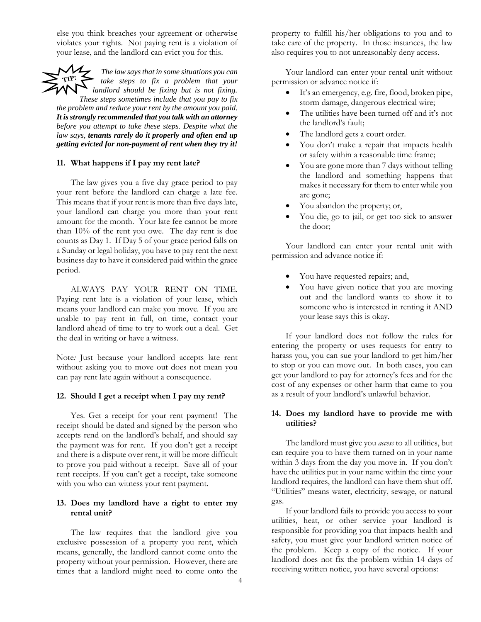else you think breaches your agreement or otherwise violates your rights. Not paying rent is a violation of your lease, and the landlord can evict you for this.

*The law says that in some situations you can take steps to fix a problem that your landlord should be fixing but is not fixing. These steps sometimes include that you pay to fix the problem and reduce your rent by the amount you paid. It is strongly recommended that you talk with an attorney before you attempt to take these steps. Despite what the law says, tenants rarely do it properly and often end up getting evicted for non-payment of rent when they try it!*

#### **11. What happens if I pay my rent late?**

The law gives you a five day grace period to pay your rent before the landlord can charge a late fee. This means that if your rent is more than five days late, your landlord can charge you more than your rent amount for the month. Your late fee cannot be more than 10% of the rent you owe. The day rent is due counts as Day 1. If Day 5 of your grace period falls on a Sunday or legal holiday, you have to pay rent the next business day to have it considered paid within the grace period.

ALWAYS PAY YOUR RENT ON TIME. Paying rent late is a violation of your lease, which means your landlord can make you move. If you are unable to pay rent in full, on time, contact your landlord ahead of time to try to work out a deal. Get the deal in writing or have a witness.

Note*:* Just because your landlord accepts late rent without asking you to move out does not mean you can pay rent late again without a consequence.

#### **12. Should I get a receipt when I pay my rent?**

Yes. Get a receipt for your rent payment! The receipt should be dated and signed by the person who accepts rend on the landlord's behalf, and should say the payment was for rent. If you don't get a receipt and there is a dispute over rent, it will be more difficult to prove you paid without a receipt. Save all of your rent receipts. If you can't get a receipt, take someone with you who can witness your rent payment.

#### **13. Does my landlord have a right to enter my rental unit?**

The law requires that the landlord give you exclusive possession of a property you rent, which means, generally, the landlord cannot come onto the property without your permission. However, there are times that a landlord might need to come onto the property to fulfill his/her obligations to you and to take care of the property. In those instances, the law also requires you to not unreasonably deny access.

Your landlord can enter your rental unit without permission or advance notice if:

- It's an emergency, e.g. fire, flood, broken pipe, storm damage, dangerous electrical wire;
- The utilities have been turned off and it's not the landlord's fault;
- The landlord gets a court order.
- You don't make a repair that impacts health or safety within a reasonable time frame;
- You are gone more than 7 days without telling the landlord and something happens that makes it necessary for them to enter while you are gone;
- You abandon the property; or,
- You die, go to jail, or get too sick to answer the door;

Your landlord can enter your rental unit with permission and advance notice if:

- You have requested repairs; and,
- You have given notice that you are moving out and the landlord wants to show it to someone who is interested in renting it AND your lease says this is okay.

If your landlord does not follow the rules for entering the property or uses requests for entry to harass you, you can sue your landlord to get him/her to stop or you can move out. In both cases, you can get your landlord to pay for attorney's fees and for the cost of any expenses or other harm that came to you as a result of your landlord's unlawful behavior.

#### **14. Does my landlord have to provide me with utilities?**

The landlord must give you *access* to all utilities, but can require you to have them turned on in your name within 3 days from the day you move in. If you don't have the utilities put in your name within the time your landlord requires, the landlord can have them shut off. "Utilities" means water, electricity, sewage, or natural gas.

If your landlord fails to provide you access to your utilities, heat, or other service your landlord is responsible for providing you that impacts health and safety, you must give your landlord written notice of the problem. Keep a copy of the notice. If your landlord does not fix the problem within 14 days of receiving written notice, you have several options: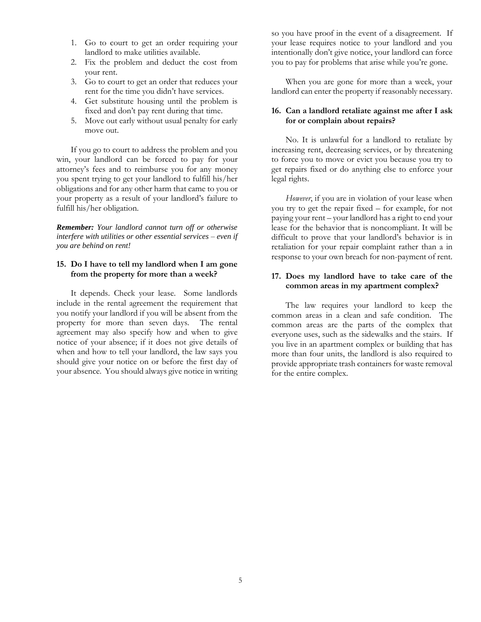- 1. Go to court to get an order requiring your landlord to make utilities available.
- 2. Fix the problem and deduct the cost from your rent.
- 3. Go to court to get an order that reduces your rent for the time you didn't have services.
- 4. Get substitute housing until the problem is fixed and don't pay rent during that time.
- 5. Move out early without usual penalty for early move out.

If you go to court to address the problem and you win, your landlord can be forced to pay for your attorney's fees and to reimburse you for any money you spent trying to get your landlord to fulfill his/her obligations and for any other harm that came to you or your property as a result of your landlord's failure to fulfill his/her obligation.

*Remember: Your landlord cannot turn off or otherwise interfere with utilities or other essential services – even if you are behind on rent!*

# **15. Do I have to tell my landlord when I am gone from the property for more than a week?**

It depends. Check your lease. Some landlords include in the rental agreement the requirement that you notify your landlord if you will be absent from the property for more than seven days. The rental agreement may also specify how and when to give notice of your absence; if it does not give details of when and how to tell your landlord, the law says you should give your notice on or before the first day of your absence. You should always give notice in writing so you have proof in the event of a disagreement. If your lease requires notice to your landlord and you intentionally don't give notice, your landlord can force you to pay for problems that arise while you're gone.

When you are gone for more than a week, your landlord can enter the property if reasonably necessary.

## **16. Can a landlord retaliate against me after I ask for or complain about repairs?**

No. It is unlawful for a landlord to retaliate by increasing rent, decreasing services, or by threatening to force you to move or evict you because you try to get repairs fixed or do anything else to enforce your legal rights.

*However*, if you are in violation of your lease when you try to get the repair fixed – for example, for not paying your rent – your landlord has a right to end your lease for the behavior that is noncompliant. It will be difficult to prove that your landlord's behavior is in retaliation for your repair complaint rather than a in response to your own breach for non-payment of rent.

# **17. Does my landlord have to take care of the common areas in my apartment complex?**

The law requires your landlord to keep the common areas in a clean and safe condition. The common areas are the parts of the complex that everyone uses, such as the sidewalks and the stairs. If you live in an apartment complex or building that has more than four units, the landlord is also required to provide appropriate trash containers for waste removal for the entire complex.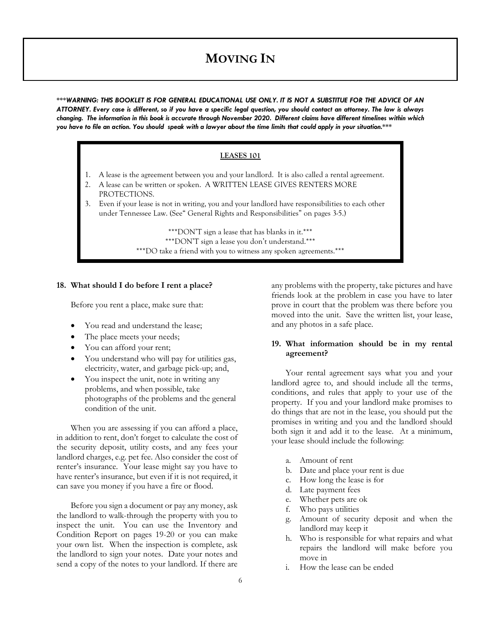# **MOVING IN**

*\*\*\*WARNING: THIS BOOKLET IS FOR GENERAL EDUCATIONAL USE ONLY. IT IS NOT A SUBSTITUE FOR THE ADVICE OF AN ATTORNEY. Every case is different, so if you have a specific legal question, you should contact an attorney. The law is always changing. The information in this book is accurate through November 2020. Different claims have different timelines within which you have to file an action. You should speak with a lawyer about the time limits that could apply in your situation.\*\*\**

#### **LEASES 101**

- 1. A lease is the agreement between you and your landlord. It is also called a rental agreement.
- 2. A lease can be written or spoken. A WRITTEN LEASE GIVES RENTERS MORE PROTECTIONS.
- 3. Even if your lease is not in writing, you and your landlord have responsibilities to each other under Tennessee Law. (See" General Rights and Responsibilities" on pages 3-5.)

\*\*\*DON'T sign a lease that has blanks in it.\*\*\* \*\*\*DON'T sign a lease you don't understand.\*\*\* \*\*\*DO take a friend with you to witness any spoken agreements.\*\*\*

#### **18. What should I do before I rent a place?**

Before you rent a place, make sure that:

- You read and understand the lease;
- The place meets your needs;
- You can afford your rent;
- You understand who will pay for utilities gas, electricity, water, and garbage pick-up; and,
- You inspect the unit, note in writing any problems, and when possible, take photographs of the problems and the general condition of the unit.

When you are assessing if you can afford a place, in addition to rent, don't forget to calculate the cost of the security deposit, utility costs, and any fees your landlord charges, e.g. pet fee. Also consider the cost of renter's insurance. Your lease might say you have to have renter's insurance, but even if it is not required, it can save you money if you have a fire or flood.

Before you sign a document or pay any money, ask the landlord to walk-through the property with you to inspect the unit. You can use the Inventory and Condition Report on pages 19-20 or you can make your own list. When the inspection is complete, ask the landlord to sign your notes. Date your notes and send a copy of the notes to your landlord. If there are any problems with the property, take pictures and have friends look at the problem in case you have to later prove in court that the problem was there before you moved into the unit. Save the written list, your lease, and any photos in a safe place.

#### **19. What information should be in my rental agreement?**

Your rental agreement says what you and your landlord agree to, and should include all the terms, conditions, and rules that apply to your use of the property. If you and your landlord make promises to do things that are not in the lease, you should put the promises in writing and you and the landlord should both sign it and add it to the lease. At a minimum, your lease should include the following:

- a. Amount of rent
- b. Date and place your rent is due
- c. How long the lease is for
- d. Late payment fees
- e. Whether pets are ok
- f. Who pays utilities
- g. Amount of security deposit and when the landlord may keep it
- h. Who is responsible for what repairs and what repairs the landlord will make before you move in
- i. How the lease can be ended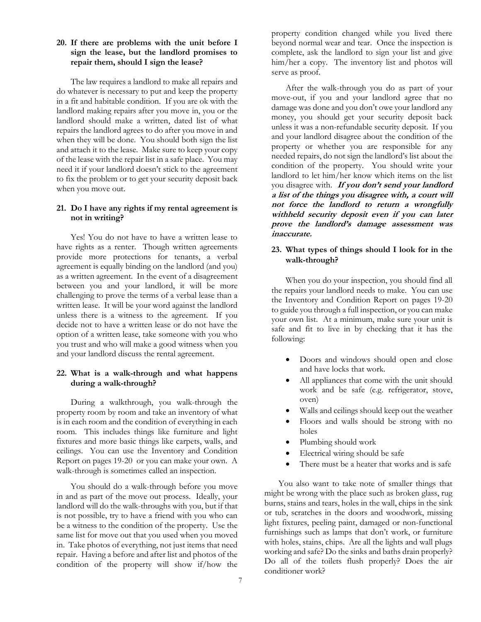#### **20. If there are problems with the unit before I sign the lease, but the landlord promises to repair them, should I sign the lease?**

The law requires a landlord to make all repairs and do whatever is necessary to put and keep the property in a fit and habitable condition. If you are ok with the landlord making repairs after you move in, you or the landlord should make a written, dated list of what repairs the landlord agrees to do after you move in and when they will be done. You should both sign the list and attach it to the lease. Make sure to keep your copy of the lease with the repair list in a safe place. You may need it if your landlord doesn't stick to the agreement to fix the problem or to get your security deposit back when you move out.

#### **21. Do I have any rights if my rental agreement is not in writing?**

Yes! You do not have to have a written lease to have rights as a renter. Though written agreements provide more protections for tenants, a verbal agreement is equally binding on the landlord (and you) as a written agreement. In the event of a disagreement between you and your landlord, it will be more challenging to prove the terms of a verbal lease than a written lease. It will be your word against the landlord unless there is a witness to the agreement. If you decide not to have a written lease or do not have the option of a written lease, take someone with you who you trust and who will make a good witness when you and your landlord discuss the rental agreement.

## **22. What is a walk-through and what happens during a walk-through?**

During a walkthrough, you walk-through the property room by room and take an inventory of what is in each room and the condition of everything in each room. This includes things like furniture and light fixtures and more basic things like carpets, walls, and ceilings. You can use the Inventory and Condition Report on pages 19-20 or you can make your own. A walk-through is sometimes called an inspection.

You should do a walk-through before you move in and as part of the move out process. Ideally, your landlord will do the walk-throughs with you, but if that is not possible, try to have a friend with you who can be a witness to the condition of the property. Use the same list for move out that you used when you moved in. Take photos of everything, not just items that need repair. Having a before and after list and photos of the condition of the property will show if/how the

property condition changed while you lived there beyond normal wear and tear. Once the inspection is complete, ask the landlord to sign your list and give him/her a copy. The inventory list and photos will serve as proof.

After the walk-through you do as part of your move-out, if you and your landlord agree that no damage was done and you don't owe your landlord any money, you should get your security deposit back unless it was a non-refundable security deposit. If you and your landlord disagree about the condition of the property or whether you are responsible for any needed repairs, do not sign the landlord's list about the condition of the property. You should write your landlord to let him/her know which items on the list you disagree with. **If you don't send your landlord a list of the things you disagree with, a court will not force the landlord to return a wrongfully withheld security deposit even if you can later prove the landlord's damage assessment was inaccurate.**

## **23. What types of things should I look for in the walk-through?**

When you do your inspection, you should find all the repairs your landlord needs to make. You can use the Inventory and Condition Report on pages 19-20 to guide you through a full inspection, or you can make your own list. At a minimum, make sure your unit is safe and fit to live in by checking that it has the following:

- Doors and windows should open and close and have locks that work.
- All appliances that come with the unit should work and be safe (e.g. refrigerator, stove, oven)
- Walls and ceilings should keep out the weather
- Floors and walls should be strong with no holes
- Plumbing should work
- Electrical wiring should be safe
- There must be a heater that works and is safe

You also want to take note of smaller things that might be wrong with the place such as broken glass, rug burns, stains and tears, holes in the wall, chips in the sink or tub, scratches in the doors and woodwork, missing light fixtures, peeling paint, damaged or non-functional furnishings such as lamps that don't work, or furniture with holes, stains, chips. Are all the lights and wall plugs working and safe? Do the sinks and baths drain properly? Do all of the toilets flush properly? Does the air conditioner work?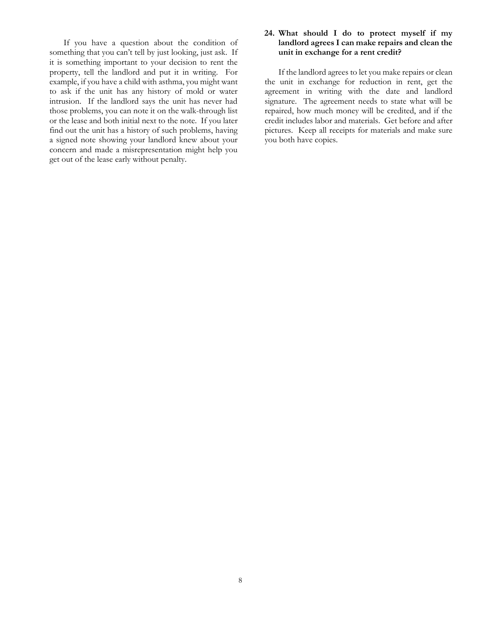If you have a question about the condition of something that you can't tell by just looking, just ask. If it is something important to your decision to rent the property, tell the landlord and put it in writing. For example, if you have a child with asthma, you might want to ask if the unit has any history of mold or water intrusion. If the landlord says the unit has never had those problems, you can note it on the walk-through list or the lease and both initial next to the note. If you later find out the unit has a history of such problems, having a signed note showing your landlord knew about your concern and made a misrepresentation might help you get out of the lease early without penalty.

#### **24. What should I do to protect myself if my landlord agrees I can make repairs and clean the unit in exchange for a rent credit?**

If the landlord agrees to let you make repairs or clean the unit in exchange for reduction in rent, get the agreement in writing with the date and landlord signature. The agreement needs to state what will be repaired, how much money will be credited, and if the credit includes labor and materials. Get before and after pictures. Keep all receipts for materials and make sure you both have copies.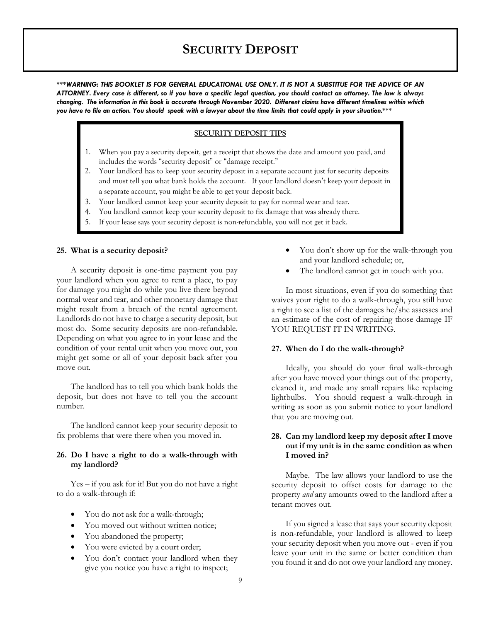# **SECURITY DEPOSIT**

*\*\*\*WARNING: THIS BOOKLET IS FOR GENERAL EDUCATIONAL USE ONLY. IT IS NOT A SUBSTITUE FOR THE ADVICE OF AN ATTORNEY. Every case is different, so if you have a specific legal question, you should contact an attorney. The law is always changing. The information in this book is accurate through November 2020. Different claims have different timelines within which you have to file an action. You should speak with a lawyer about the time limits that could apply in your situation.\*\*\**

#### **SECURITY DEPOSIT TIPS**

- 1. When you pay a security deposit, get a receipt that shows the date and amount you paid, and includes the words "security deposit" or "damage receipt."
- 2. Your landlord has to keep your security deposit in a separate account just for security deposits and must tell you what bank holds the account. If your landlord doesn't keep your deposit in a separate account, you might be able to get your deposit back.
- 3. Your landlord cannot keep your security deposit to pay for normal wear and tear.
- 4. You landlord cannot keep your security deposit to fix damage that was already there.
- 5. If your lease says your security deposit is non-refundable, you will not get it back.

#### **25. What is a security deposit?**

A security deposit is one-time payment you pay your landlord when you agree to rent a place, to pay for damage you might do while you live there beyond normal wear and tear, and other monetary damage that might result from a breach of the rental agreement. Landlords do not have to charge a security deposit, but most do. Some security deposits are non-refundable. Depending on what you agree to in your lease and the condition of your rental unit when you move out, you might get some or all of your deposit back after you move out.

The landlord has to tell you which bank holds the deposit, but does not have to tell you the account number.

The landlord cannot keep your security deposit to fix problems that were there when you moved in.

#### **26. Do I have a right to do a walk-through with my landlord?**

Yes – if you ask for it! But you do not have a right to do a walk-through if:

- You do not ask for a walk-through;
- You moved out without written notice;
- You abandoned the property;
- You were evicted by a court order;
- You don't contact your landlord when they give you notice you have a right to inspect;
- You don't show up for the walk-through you and your landlord schedule; or,
- The landlord cannot get in touch with you.

In most situations, even if you do something that waives your right to do a walk-through, you still have a right to see a list of the damages he/she assesses and an estimate of the cost of repairing those damage IF YOU REQUEST IT IN WRITING.

#### **27. When do I do the walk-through?**

Ideally, you should do your final walk-through after you have moved your things out of the property, cleaned it, and made any small repairs like replacing lightbulbs. You should request a walk-through in writing as soon as you submit notice to your landlord that you are moving out.

# **28. Can my landlord keep my deposit after I move out if my unit is in the same condition as when I moved in?**

Maybe. The law allows your landlord to use the security deposit to offset costs for damage to the property *and* any amounts owed to the landlord after a tenant moves out.

If you signed a lease that says your security deposit is non-refundable, your landlord is allowed to keep your security deposit when you move out - even if you leave your unit in the same or better condition than you found it and do not owe your landlord any money.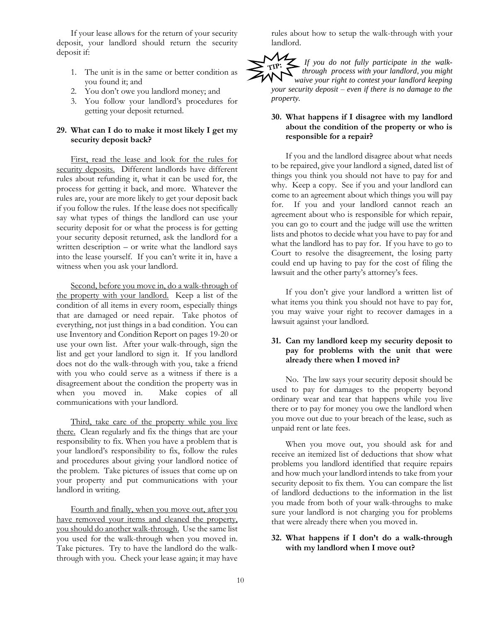If your lease allows for the return of your security deposit, your landlord should return the security deposit if:

- 1. The unit is in the same or better condition as you found it; and
- 2. You don't owe you landlord money; and
- 3. You follow your landlord's procedures for getting your deposit returned.

## **29. What can I do to make it most likely I get my security deposit back?**

First, read the lease and look for the rules for security deposits. Different landlords have different rules about refunding it, what it can be used for, the process for getting it back, and more. Whatever the rules are, your are more likely to get your deposit back if you follow the rules. If the lease does not specifically say what types of things the landlord can use your security deposit for or what the process is for getting your security deposit returned, ask the landlord for a written description – or write what the landlord says into the lease yourself. If you can't write it in, have a witness when you ask your landlord.

Second, before you move in, do a walk-through of the property with your landlord. Keep a list of the condition of all items in every room, especially things that are damaged or need repair. Take photos of everything, not just things in a bad condition. You can use Inventory and Condition Report on pages 19-20 or use your own list. After your walk-through, sign the list and get your landlord to sign it. If you landlord does not do the walk-through with you, take a friend with you who could serve as a witness if there is a disagreement about the condition the property was in when you moved in. Make copies of all communications with your landlord.

Third, take care of the property while you live there. Clean regularly and fix the things that are your responsibility to fix. When you have a problem that is your landlord's responsibility to fix, follow the rules and procedures about giving your landlord notice of the problem. Take pictures of issues that come up on your property and put communications with your landlord in writing.

Fourth and finally, when you move out, after you have removed your items and cleaned the property, you should do another walk-through. Use the same list you used for the walk-through when you moved in. Take pictures. Try to have the landlord do the walkthrough with you. Check your lease again; it may have

rules about how to setup the walk-through with your landlord.

 $M_{Z}$ *If you do not fully participate in the walk-*TIP: *through process with your landlord, you might waive your right to contest your landlord keeping your security deposit – even if there is no damage to the property.*

# **30. What happens if I disagree with my landlord about the condition of the property or who is responsible for a repair?**

If you and the landlord disagree about what needs to be repaired, give your landlord a signed, dated list of things you think you should not have to pay for and why. Keep a copy. See if you and your landlord can come to an agreement about which things you will pay for. If you and your landlord cannot reach an agreement about who is responsible for which repair, you can go to court and the judge will use the written lists and photos to decide what you have to pay for and what the landlord has to pay for. If you have to go to Court to resolve the disagreement, the losing party could end up having to pay for the cost of filing the lawsuit and the other party's attorney's fees.

If you don't give your landlord a written list of what items you think you should not have to pay for, you may waive your right to recover damages in a lawsuit against your landlord.

# **31. Can my landlord keep my security deposit to pay for problems with the unit that were already there when I moved in?**

No. The law says your security deposit should be used to pay for damages to the property beyond ordinary wear and tear that happens while you live there or to pay for money you owe the landlord when you move out due to your breach of the lease, such as unpaid rent or late fees.

When you move out, you should ask for and receive an itemized list of deductions that show what problems you landlord identified that require repairs and how much your landlord intends to take from your security deposit to fix them. You can compare the list of landlord deductions to the information in the list you made from both of your walk-throughs to make sure your landlord is not charging you for problems that were already there when you moved in.

## **32. What happens if I don't do a walk-through with my landlord when I move out?**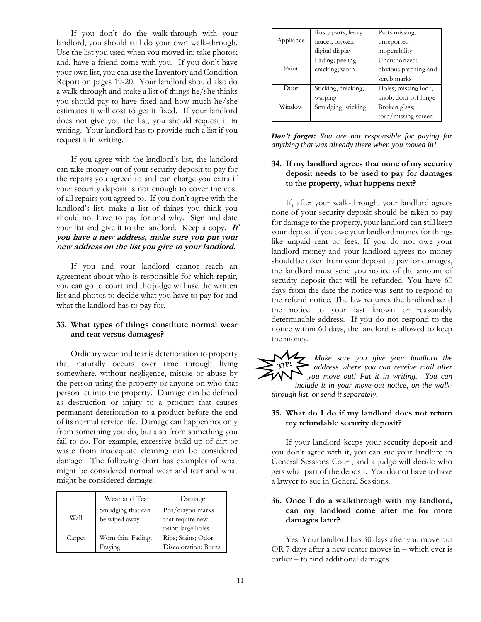If you don't do the walk-through with your landlord, you should still do your own walk-through. Use the list you used when you moved in; take photos; and, have a friend come with you. If you don't have your own list, you can use the Inventory and Condition Report on pages 19-20. Your landlord should also do a walk-through and make a list of things he/she thinks you should pay to have fixed and how much he/she estimates it will cost to get it fixed. If your landlord does not give you the list, you should request it in writing. Your landlord has to provide such a list if you request it in writing.

If you agree with the landlord's list, the landlord can take money out of your security deposit to pay for the repairs you agreed to and can charge you extra if your security deposit is not enough to cover the cost of all repairs you agreed to. If you don't agree with the landlord's list, make a list of things you think you should not have to pay for and why. Sign and date your list and give it to the landlord. Keep a copy. **If you have a new address, make sure you put your new address on the list you give to your landlord.**

If you and your landlord cannot reach an agreement about who is responsible for which repair, you can go to court and the judge will use the written list and photos to decide what you have to pay for and what the landlord has to pay for.

#### **33. What types of things constitute normal wear and tear versus damages?**

Ordinary wear and tear is deterioration to property that naturally occurs over time through living somewhere, without negligence, misuse or abuse by the person using the property or anyone on who that person let into the property. Damage can be defined as destruction or injury to a product that causes permanent deterioration to a product before the end of its normal service life. Damage can happen not only from something you do, but also from something you fail to do. For example, excessive build-up of dirt or waste from inadequate cleaning can be considered damage. The following chart has examples of what might be considered normal wear and tear and what might be considered damage:

|        | Wear and Tear      | Damage               |  |  |
|--------|--------------------|----------------------|--|--|
|        | Smudging that can  | Pen/crayon marks     |  |  |
| Wall   | be wiped away      | that require new     |  |  |
|        |                    | paint; large holes   |  |  |
| Carpet | Worn thin; Fading; | Rips; Stains; Odor;  |  |  |
|        | Fraying            | Discoloration; Burns |  |  |

|           | Rusty parts; leaky  | Parts missing,       |  |  |
|-----------|---------------------|----------------------|--|--|
| Appliance | faucet; broken      | unreported           |  |  |
|           | digital display     | inoperability        |  |  |
|           | Fading; peeling;    | Unauthorized:        |  |  |
| Paint     | cracking; worn      | obvious patching and |  |  |
|           |                     | scrub marks          |  |  |
| Door      | Sticking, creaking; | Holes; missing lock, |  |  |
|           | warping             | knob; door off hinge |  |  |
| Window    | Smudging; sticking  | Broken glass;        |  |  |
|           |                     | torn/missing screen  |  |  |

*Don't forget: You are not responsible for paying for anything that was already there when you moved in!*

# **34. If my landlord agrees that none of my security deposit needs to be used to pay for damages to the property, what happens next?**

If, after your walk-through, your landlord agrees none of your security deposit should be taken to pay for damage to the property, your landlord can still keep your deposit if you owe your landlord money for things like unpaid rent or fees. If you do not owe your landlord money and your landlord agrees no money should be taken from your deposit to pay for damages, the landlord must send you notice of the amount of security deposit that will be refunded. You have 60 days from the date the notice was sent to respond to the refund notice. The law requires the landlord send the notice to your last known or reasonably determinable address. If you do not respond to the notice within 60 days, the landlord is allowed to keep the money.

*Make sure you give your landlord the*   $TIP:$ *address where you can receive mail after you move out! Put it in writing. You can include it in your move-out notice, on the walkthrough list, or send it separately.* 

#### **35. What do I do if my landlord does not return my refundable security deposit?**

If your landlord keeps your security deposit and you don't agree with it, you can sue your landlord in General Sessions Court, and a judge will decide who gets what part of the deposit. You do not have to have a lawyer to sue in General Sessions.

# **36. Once I do a walkthrough with my landlord, can my landlord come after me for more damages later?**

Yes. Your landlord has 30 days after you move out OR 7 days after a new renter moves in – which ever is earlier – to find additional damages.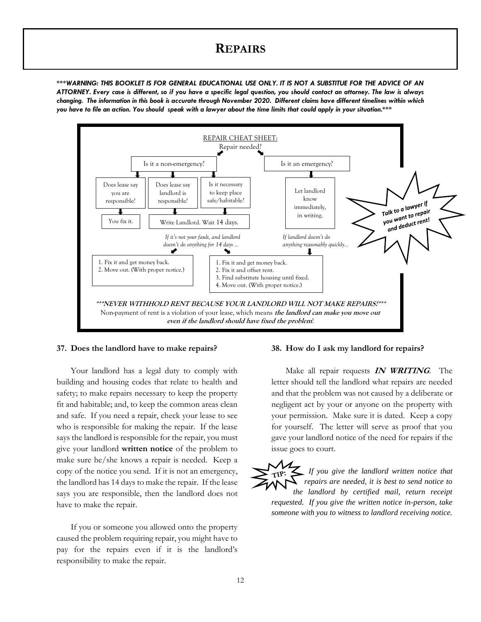# **REPAIRS**

*\*\*\*WARNING: THIS BOOKLET IS FOR GENERAL EDUCATIONAL USE ONLY. IT IS NOT A SUBSTITUE FOR THE ADVICE OF AN ATTORNEY. Every case is different, so if you have a specific legal question, you should contact an attorney. The law is always changing. The information in this book is accurate through November 2020. Different claims have different timelines within which you have to file an action. You should speak with a lawyer about the time limits that could apply in your situation.\*\*\**



#### **37. Does the landlord have to make repairs?**

Your landlord has a legal duty to comply with building and housing codes that relate to health and safety; to make repairs necessary to keep the property fit and habitable; and, to keep the common areas clean and safe. If you need a repair, check your lease to see who is responsible for making the repair. If the lease says the landlord is responsible for the repair, you must give your landlord **written notice** of the problem to make sure he/she knows a repair is needed. Keep a copy of the notice you send. If it is not an emergency, the landlord has 14 days to make the repair. If the lease says you are responsible, then the landlord does not have to make the repair.

If you or someone you allowed onto the property caused the problem requiring repair, you might have to pay for the repairs even if it is the landlord's responsibility to make the repair.

#### **38. [How do I ask my landlord for repairs?](https://texaslawhelp.org/article/right-repairs-tenant#toc-4)**

Make all repair requests **IN WRITING**. The letter should tell the landlord what repairs are needed and that the problem was not caused by a deliberate or negligent act by your or anyone on the property with your permission. Make sure it is dated. Keep a copy for yourself. The letter will serve as proof that you gave your landlord notice of the need for repairs if the issue goes to court.

*If you give the landlord written notice that repairs are needed, it is best to send notice to the landlord by certified mail, return receipt requested. If you give the written notice in-person, take someone with you to witness to landlord receiving notice.*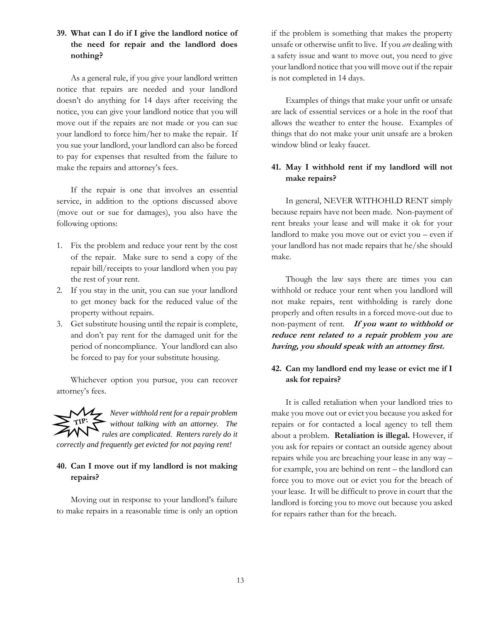# **39. What can I do if I give the landlord notice of the need for repair and the landlord does nothing?**

As a general rule, if you give your landlord written notice that repairs are needed and your landlord doesn't do anything for 14 days after receiving the notice, you can give your landlord notice that you will move out if the repairs are not made or you can sue your landlord to force him/her to make the repair. If you sue your landlord, your landlord can also be forced to pay for expenses that resulted from the failure to make the repairs and attorney's fees.

If the repair is one that involves an essential service, in addition to the options discussed above (move out or sue for damages), you also have the following options:

- 1. Fix the problem and reduce your rent by the cost of the repair. Make sure to send a copy of the repair bill/receipts to your landlord when you pay the rest of your rent.
- 2. If you stay in the unit, you can sue your landlord to get money back for the reduced value of the property without repairs.
- 3. Get substitute housing until the repair is complete, and don't pay rent for the damaged unit for the period of noncompliance. Your landlord can also be forced to pay for your substitute housing.

Whichever option you pursue, you can recover attorney's fees.

*Never withhold rent for a repair problem without talking with an attorney. The rules are complicated. Renters rarely do it correctly and frequently get evicted for not paying rent!* 

# **40. Can I move out if my landlord is not making repairs?**

Moving out in response to your landlord's failure to make repairs in a reasonable time is only an option if the problem is something that makes the property unsafe or otherwise unfit to live. If you *are* dealing with a safety issue and want to move out, you need to give your landlord notice that you will move out if the repair is not completed in 14 days.

Examples of things that make your unfit or unsafe are lack of essential services or a hole in the roof that allows the weather to enter the house. Examples of things that do not make your unit unsafe are a broken window blind or leaky faucet.

# **41. May I withhold rent if my landlord will not make repairs?**

In general, NEVER WITHOHLD RENT simply because repairs have not been made. Non-payment of rent breaks your lease and will make it ok for your landlord to make you move out or evict you – even if your landlord has not made repairs that he/she should make.

Though the law says there are times you can withhold or reduce your rent when you landlord will not make repairs, rent withholding is rarely done properly and often results in a forced move-out due to non-payment of rent. **If you want to withhold or reduce rent related to a repair problem you are having, you should speak with an attorney first.** 

# **42. [Can my landlord end my lease or evict me if I](https://texaslawhelp.org/article/right-repairs-tenant#toc-3)  [ask for repairs?](https://texaslawhelp.org/article/right-repairs-tenant#toc-3)**

It is called retaliation when your landlord tries to make you move out or evict you because you asked for repairs or for contacted a local agency to tell them about a problem. **Retaliation is illegal.** However, if you ask for repairs or contact an outside agency about repairs while you are breaching your lease in any way – for example, you are behind on rent – the landlord can force you to move out or evict you for the breach of your lease. It will be difficult to prove in court that the landlord is forcing you to move out because you asked for repairs rather than for the breach.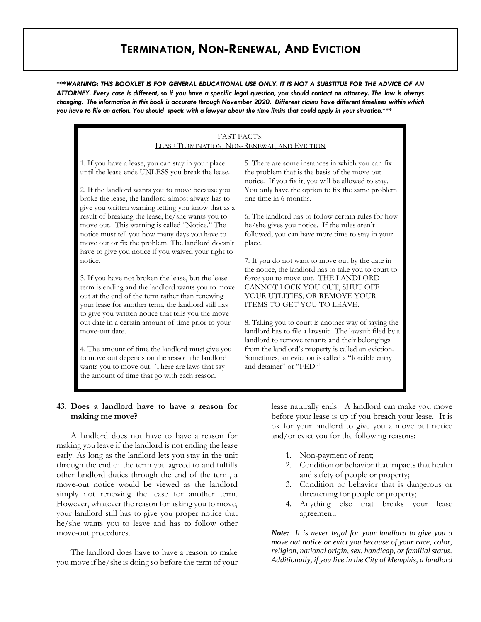# **TERMINATION, NON-RENEWAL, AND EVICTION**

*\*\*\*WARNING: THIS BOOKLET IS FOR GENERAL EDUCATIONAL USE ONLY. IT IS NOT A SUBSTITUE FOR THE ADVICE OF AN ATTORNEY. Every case is different, so if you have a specific legal question, you should contact an attorney. The law is always changing. The information in this book is accurate through November 2020. Different claims have different timelines within which you have to file an action. You should speak with a lawyer about the time limits that could apply in your situation.\*\*\**

#### FAST FACTS: LEASE TERMINATION, NON-RENEWAL, AND EVICTION

1. If you have a lease, you can stay in your place until the lease ends UNLESS you break the lease.

2. If the landlord wants you to move because you broke the lease, the landlord almost always has to give you written warning letting you know that as a result of breaking the lease, he/she wants you to move out. This warning is called "Notice." The notice must tell you how many days you have to move out or fix the problem. The landlord doesn't have to give you notice if you waived your right to notice.

3. If you have not broken the lease, but the lease term is ending and the landlord wants you to move out at the end of the term rather than renewing your lease for another term, the landlord still has to give you written notice that tells you the move out date in a certain amount of time prior to your move-out date.

4. The amount of time the landlord must give you to move out depends on the reason the landlord wants you to move out. There are laws that say the amount of time that go with each reason.

5. There are some instances in which you can fix the problem that is the basis of the move out notice. If you fix it, you will be allowed to stay. You only have the option to fix the same problem one time in 6 months.

6. The landlord has to follow certain rules for how he/she gives you notice. If the rules aren't followed, you can have more time to stay in your place.

7. If you do not want to move out by the date in the notice, the landlord has to take you to court to force you to move out. THE LANDLORD CANNOT LOCK YOU OUT, SHUT OFF YOUR UTLITIES, OR REMOVE YOUR ITEMS TO GET YOU TO LEAVE.

8. Taking you to court is another way of saying the landlord has to file a lawsuit. The lawsuit filed by a landlord to remove tenants and their belongings from the landlord's property is called an eviction. Sometimes, an eviction is called a "forcible entry and detainer" or "FED."

#### **43. Does a landlord have to have a reason for making me move?**

A landlord does not have to have a reason for making you leave if the landlord is not ending the lease early. As long as the landlord lets you stay in the unit through the end of the term you agreed to and fulfills other landlord duties through the end of the term, a move-out notice would be viewed as the landlord simply not renewing the lease for another term. However, whatever the reason for asking you to move, your landlord still has to give you proper notice that he/she wants you to leave and has to follow other move-out procedures.

The landlord does have to have a reason to make you move if he/she is doing so before the term of your lease naturally ends. A landlord can make you move before your lease is up if you breach your lease. It is ok for your landlord to give you a move out notice and/or evict you for the following reasons:

- 1. Non-payment of rent;
- 2. Condition or behavior that impacts that health and safety of people or property;
- 3. Condition or behavior that is dangerous or threatening for people or property;
- 4. Anything else that breaks your lease agreement.

*Note: It is never legal for your landlord to give you a move out notice or evict you because of your race, color, religion, national origin, sex, handicap, or familial status. Additionally, if you live in the City of Memphis, a landlord*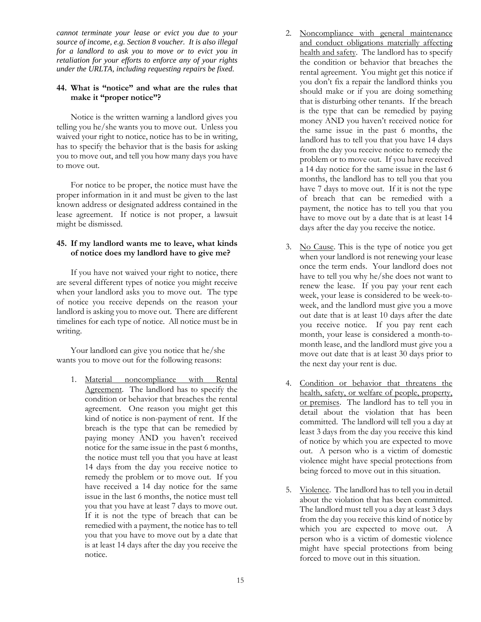*cannot terminate your lease or evict you due to your source of income, e.g. Section 8 voucher. It is also illegal for a landlord to ask you to move or to evict you in retaliation for your efforts to enforce any of your rights under the URLTA, including requesting repairs be fixed.*

## **44. What is "notice" and what are the rules that make it "proper notice"?**

Notice is the written warning a landlord gives you telling you he/she wants you to move out. Unless you waived your right to notice, notice has to be in writing, has to specify the behavior that is the basis for asking you to move out, and tell you how many days you have to move out.

For notice to be proper, the notice must have the proper information in it and must be given to the last known address or designated address contained in the lease agreement. If notice is not proper, a lawsuit might be dismissed.

# **45. If my landlord wants me to leave, what kinds of notice does my landlord have to give me?**

If you have not waived your right to notice, there are several different types of notice you might receive when your landlord asks you to move out. The type of notice you receive depends on the reason your landlord is asking you to move out. There are different timelines for each type of notice. All notice must be in writing.

Your landlord can give you notice that he/she wants you to move out for the following reasons:

1. Material noncompliance with Rental Agreement. The landlord has to specify the condition or behavior that breaches the rental agreement. One reason you might get this kind of notice is non-payment of rent. If the breach is the type that can be remedied by paying money AND you haven't received notice for the same issue in the past 6 months, the notice must tell you that you have at least 14 days from the day you receive notice to remedy the problem or to move out. If you have received a 14 day notice for the same issue in the last 6 months, the notice must tell you that you have at least 7 days to move out. If it is not the type of breach that can be remedied with a payment, the notice has to tell you that you have to move out by a date that is at least 14 days after the day you receive the notice.

- 2. Noncompliance with general maintenance and conduct obligations materially affecting health and safety. The landlord has to specify the condition or behavior that breaches the rental agreement. You might get this notice if you don't fix a repair the landlord thinks you should make or if you are doing something that is disturbing other tenants. If the breach is the type that can be remedied by paying money AND you haven't received notice for the same issue in the past 6 months, the landlord has to tell you that you have 14 days from the day you receive notice to remedy the problem or to move out. If you have received a 14 day notice for the same issue in the last 6 months, the landlord has to tell you that you have 7 days to move out. If it is not the type of breach that can be remedied with a payment, the notice has to tell you that you have to move out by a date that is at least 14 days after the day you receive the notice.
- 3. No Cause. This is the type of notice you get when your landlord is not renewing your lease once the term ends. Your landlord does not have to tell you why he/she does not want to renew the lease. If you pay your rent each week, your lease is considered to be week-toweek, and the landlord must give you a move out date that is at least 10 days after the date you receive notice. If you pay rent each month, your lease is considered a month-tomonth lease, and the landlord must give you a move out date that is at least 30 days prior to the next day your rent is due.
- 4. Condition or behavior that threatens the health, safety, or welfare of people, property, or premises. The landlord has to tell you in detail about the violation that has been committed. The landlord will tell you a day at least 3 days from the day you receive this kind of notice by which you are expected to move out. A person who is a victim of domestic violence might have special protections from being forced to move out in this situation.
- 5. Violence. The landlord has to tell you in detail about the violation that has been committed. The landlord must tell you a day at least 3 days from the day you receive this kind of notice by which you are expected to move out. A person who is a victim of domestic violence might have special protections from being forced to move out in this situation.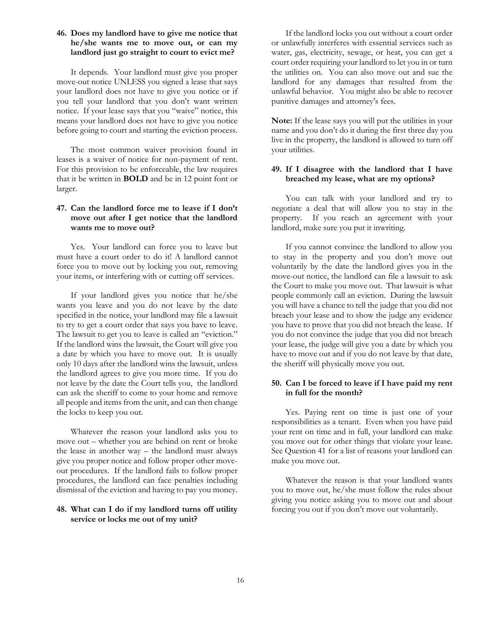#### **46. Does my landlord have to give me notice that he/she wants me to move out, or can my landlord just go straight to court to evict me?**

It depends. Your landlord must give you proper move-out notice UNLESS you signed a lease that says your landlord does not have to give you notice or if you tell your landlord that you don't want written notice. If your lease says that you "waive" notice, this means your landlord does not have to give you notice before going to court and starting the eviction process.

The most common waiver provision found in leases is a waiver of notice for non-payment of rent. For this provision to be enforceable, the law requires that it be written in **BOLD** and be in 12 point font or larger.

# **47. Can the landlord force me to leave if I don't move out after I get notice that the landlord wants me to move out?**

Yes. Your landlord can force you to leave but must have a court order to do it! A landlord cannot force you to move out by locking you out, removing your items, or interfering with or cutting off services.

If your landlord gives you notice that he/she wants you leave and you do not leave by the date specified in the notice, your landlord may file a lawsuit to try to get a court order that says you have to leave. The lawsuit to get you to leave is called an "eviction." If the landlord wins the lawsuit, the Court will give you a date by which you have to move out. It is usually only 10 days after the landlord wins the lawsuit, unless the landlord agrees to give you more time. If you do not leave by the date the Court tells you, the landlord can ask the sheriff to come to your home and remove all people and items from the unit, and can then change the locks to keep you out.

Whatever the reason your landlord asks you to move out – whether you are behind on rent or broke the lease in another way – the landlord must always give you proper notice and follow proper other moveout procedures. If the landlord fails to follow proper procedures, the landlord can face penalties including dismissal of the eviction and having to pay you money.

# **48. What can I do if my landlord turns off utility service or locks me out of my unit?**

If the landlord locks you out without a court order or unlawfully interferes with essential services such as water, gas, electricity, sewage, or heat, you can get a court order requiring your landlord to let you in or turn the utilities on. You can also move out and sue the landlord for any damages that resulted from the unlawful behavior. You might also be able to recover punitive damages and attorney's fees.

**Note:** If the lease says you will put the utilities in your name and you don't do it during the first three day you live in the property, the landlord is allowed to turn off your utilities.

## **49. If I disagree with the landlord that I have breached my lease, what are my options?**

You can talk with your landlord and try to negotiate a deal that will allow you to stay in the property. If you reach an agreement with your landlord, make sure you put it inwriting.

If you cannot convince the landlord to allow you to stay in the property and you don't move out voluntarily by the date the landlord gives you in the move-out notice, the landlord can file a lawsuit to ask the Court to make you move out. That lawsuit is what people commonly call an eviction. During the lawsuit you will have a chance to tell the judge that you did not breach your lease and to show the judge any evidence you have to prove that you did not breach the lease. If you do not convince the judge that you did not breach your lease, the judge will give you a date by which you have to move out and if you do not leave by that date, the sheriff will physically move you out.

## **50. Can I be forced to leave if I have paid my rent in full for the month?**

Yes. Paying rent on time is just one of your responsibilities as a tenant. Even when you have paid your rent on time and in full, your landlord can make you move out for other things that violate your lease. See Question 41 for a list of reasons your landlord can make you move out.

Whatever the reason is that your landlord wants you to move out, he/she must follow the rules about giving you notice asking you to move out and about forcing you out if you don't move out voluntarily.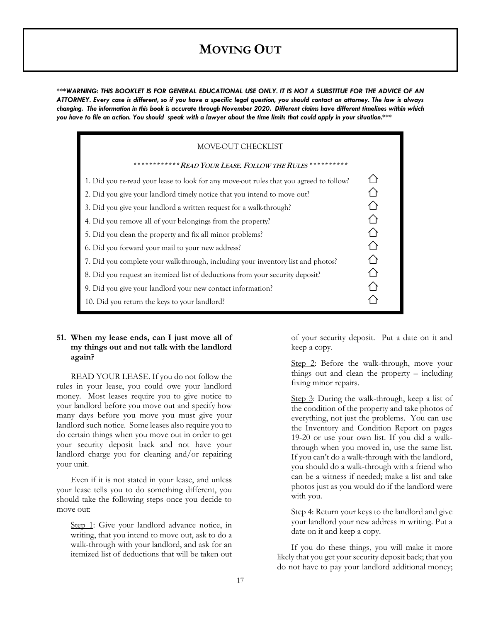# **MOVING OUT**

*\*\*\*WARNING: THIS BOOKLET IS FOR GENERAL EDUCATIONAL USE ONLY. IT IS NOT A SUBSTITUE FOR THE ADVICE OF AN ATTORNEY. Every case is different, so if you have a specific legal question, you should contact an attorney. The law is always changing. The information in this book is accurate through November 2020. Different claims have different timelines within which you have to file an action. You should speak with a lawyer about the time limits that could apply in your situation.\*\*\**

| MOVE-OUT CHECKLIST                                                                      |  |
|-----------------------------------------------------------------------------------------|--|
| *************READ YOUR LEASE. FOLLOW THE RULES ***********                              |  |
| 1. Did you re-read your lease to look for any move-out rules that you agreed to follow? |  |
| 2. Did you give your landlord timely notice that you intend to move out?                |  |
| 3. Did you give your landlord a written request for a walk-through?                     |  |
| 4. Did you remove all of your belongings from the property?                             |  |
| 5. Did you clean the property and fix all minor problems?                               |  |
| 6. Did you forward your mail to your new address?                                       |  |
| 7. Did you complete your walk-through, including your inventory list and photos?        |  |
| 8. Did you request an itemized list of deductions from your security deposit?           |  |
| 9. Did you give your landlord your new contact information?                             |  |
| 10. Did you return the keys to your landlord?                                           |  |

#### **51. When my lease ends, can I just move all of my things out and not talk with the landlord again?**

READ YOUR LEASE. If you do not follow the rules in your lease, you could owe your landlord money. Most leases require you to give notice to your landlord before you move out and specify how many days before you move you must give your landlord such notice. Some leases also require you to do certain things when you move out in order to get your security deposit back and not have your landlord charge you for cleaning and/or repairing your unit.

Even if it is not stated in your lease, and unless your lease tells you to do something different, you should take the following steps once you decide to move out:

Step 1: Give your landlord advance notice, in writing, that you intend to move out, ask to do a walk-through with your landlord, and ask for an itemized list of deductions that will be taken out

of your security deposit. Put a date on it and keep a copy.

Step 2: Before the walk-through, move your things out and clean the property – including fixing minor repairs.

Step 3: During the walk-through, keep a list of the condition of the property and take photos of everything, not just the problems. You can use the Inventory and Condition Report on pages 19-20 or use your own list. If you did a walkthrough when you moved in, use the same list. If you can't do a walk-through with the landlord, you should do a walk-through with a friend who can be a witness if needed; make a list and take photos just as you would do if the landlord were with you.

Step 4: Return your keys to the landlord and give your landlord your new address in writing. Put a date on it and keep a copy.

If you do these things, you will make it more likely that you get your security deposit back; that you do not have to pay your landlord additional money;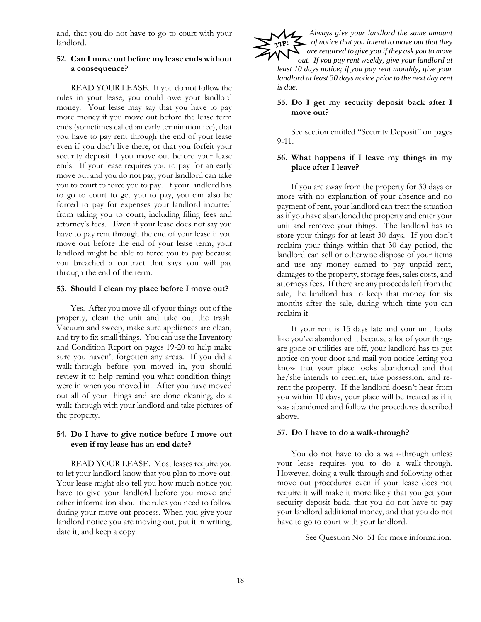and, that you do not have to go to court with your landlord.

# **52. Can I move out before my lease ends without a consequence?**

READ YOUR LEASE. If you do not follow the rules in your lease, you could owe your landlord money. Your lease may say that you have to pay more money if you move out before the lease term ends (sometimes called an early termination fee), that you have to pay rent through the end of your lease even if you don't live there, or that you forfeit your security deposit if you move out before your lease ends. If your lease requires you to pay for an early move out and you do not pay, your landlord can take you to court to force you to pay. If your landlord has to go to court to get you to pay, you can also be forced to pay for expenses your landlord incurred from taking you to court, including filing fees and attorney's fees. Even if your lease does not say you have to pay rent through the end of your lease if you move out before the end of your lease term, your landlord might be able to force you to pay because you breached a contract that says you will pay through the end of the term.

#### **53. Should I clean my place before I move out?**

Yes. After you move all of your things out of the property, clean the unit and take out the trash. Vacuum and sweep, make sure appliances are clean, and try to fix small things. You can use the Inventory and Condition Report on pages 19-20 to help make sure you haven't forgotten any areas. If you did a walk-through before you moved in, you should review it to help remind you what condition things were in when you moved in. After you have moved out all of your things and are done cleaning, do a walk-through with your landlord and take pictures of the property.

# **54. Do I have to give notice before I move out even if my lease has an end date?**

READ YOUR LEASE. Most leases require you to let your landlord know that you plan to move out. Your lease might also tell you how much notice you have to give your landlord before you move and other information about the rules you need to follow during your move out process. When you give your landlord notice you are moving out, put it in writing, date it, and keep a copy.

*Always give your landlord the same amount of notice that you intend to move out that they are required to give you if they ask you to move out. If you pay rent weekly, give your landlord at least 10 days notice; if you pay rent monthly, give your landlord at least 30 days notice prior to the next day rent is due.* 

#### **55. Do I get my security deposit back after I move out?**

See section entitled "Security Deposit" on pages 9-11.

# **56. What happens if I leave my things in my place after I leave?**

If you are away from the property for 30 days or more with no explanation of your absence and no payment of rent, your landlord can treat the situation as if you have abandoned the property and enter your unit and remove your things. The landlord has to store your things for at least 30 days. If you don't reclaim your things within that 30 day period, the landlord can sell or otherwise dispose of your items and use any money earned to pay unpaid rent, damages to the property, storage fees, sales costs, and attorneys fees. If there are any proceeds left from the sale, the landlord has to keep that money for six months after the sale, during which time you can reclaim it.

If your rent is 15 days late and your unit looks like you've abandoned it because a lot of your things are gone or utilities are off, your landlord has to put notice on your door and mail you notice letting you know that your place looks abandoned and that he/she intends to reenter, take possession, and rerent the property. If the landlord doesn't hear from you within 10 days, your place will be treated as if it was abandoned and follow the procedures described above.

#### **57. Do I have to do a walk-through?**

You do not have to do a walk-through unless your lease requires you to do a walk-through. However, doing a walk-through and following other move out procedures even if your lease does not require it will make it more likely that you get your security deposit back, that you do not have to pay your landlord additional money, and that you do not have to go to court with your landlord.

See Question No. 51 for more information.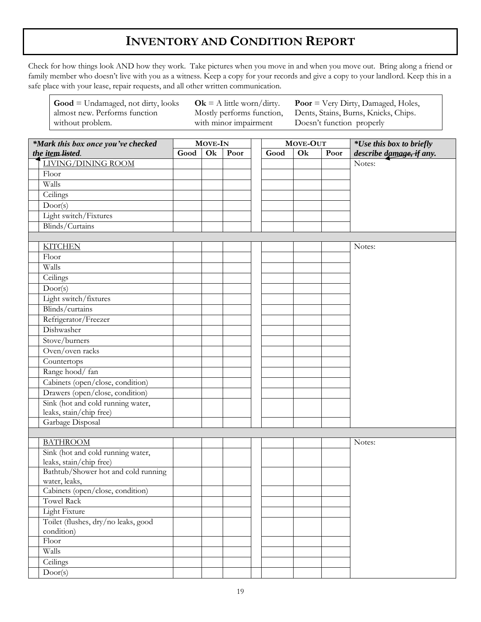# **INVENTORY AND CONDITION REPORT**

Check for how things look AND how they work. Take pictures when you move in and when you move out. Bring along a friend or family member who doesn't live with you as a witness. Keep a copy for your records and give a copy to your landlord. Keep this in a safe place with your lease, repair requests, and all other written communication.

 $\mathbf{Ok} = A$  little worn/dirty.

**Poor** = Very Dirty, Damaged, Holes,

**Good** = Undamaged, not dirty, looks

Door(s)

| almost new. Performs function<br>without problem. |                |    | Mostly performs function,<br>with minor impairment |          |    |      | Dents, Stains, Burns, Knicks, Chips.<br>Doesn't function properly |
|---------------------------------------------------|----------------|----|----------------------------------------------------|----------|----|------|-------------------------------------------------------------------|
| *Mark this box once you've checked                | <b>MOVE-IN</b> |    |                                                    | MOVE-OUT |    |      | <i>*Use this box to briefly</i>                                   |
| the item-listed.                                  | Good           | Ok | Poor                                               | Good     | Ok | Poor | describe damage, if any.                                          |
| LIVING/DINING ROOM                                |                |    |                                                    |          |    |      | Notes:                                                            |
| Floor                                             |                |    |                                                    |          |    |      |                                                                   |
| Walls                                             |                |    |                                                    |          |    |      |                                                                   |
| Ceilings                                          |                |    |                                                    |          |    |      |                                                                   |
| Door(s)                                           |                |    |                                                    |          |    |      |                                                                   |
| Light switch/Fixtures                             |                |    |                                                    |          |    |      |                                                                   |
| Blinds/Curtains                                   |                |    |                                                    |          |    |      |                                                                   |
|                                                   |                |    |                                                    |          |    |      |                                                                   |
| <b>KITCHEN</b>                                    |                |    |                                                    |          |    |      | Notes:                                                            |
| Floor                                             |                |    |                                                    |          |    |      |                                                                   |
| Walls                                             |                |    |                                                    |          |    |      |                                                                   |
| Ceilings                                          |                |    |                                                    |          |    |      |                                                                   |
| Door(s)                                           |                |    |                                                    |          |    |      |                                                                   |
| Light switch/fixtures                             |                |    |                                                    |          |    |      |                                                                   |
| Blinds/curtains                                   |                |    |                                                    |          |    |      |                                                                   |
| Refrigerator/Freezer                              |                |    |                                                    |          |    |      |                                                                   |
| Dishwasher                                        |                |    |                                                    |          |    |      |                                                                   |
| Stove/burners                                     |                |    |                                                    |          |    |      |                                                                   |
| Oven/oven racks                                   |                |    |                                                    |          |    |      |                                                                   |
| Countertops                                       |                |    |                                                    |          |    |      |                                                                   |
| Range hood/fan                                    |                |    |                                                    |          |    |      |                                                                   |
| Cabinets (open/close, condition)                  |                |    |                                                    |          |    |      |                                                                   |
| Drawers (open/close, condition)                   |                |    |                                                    |          |    |      |                                                                   |
| Sink (hot and cold running water,                 |                |    |                                                    |          |    |      |                                                                   |
| leaks, stain/chip free)                           |                |    |                                                    |          |    |      |                                                                   |
| Garbage Disposal                                  |                |    |                                                    |          |    |      |                                                                   |
|                                                   |                |    |                                                    |          |    |      |                                                                   |
| <b>BATHROOM</b>                                   |                |    |                                                    |          |    |      | Notes:                                                            |
| Sink (hot and cold running water,                 |                |    |                                                    |          |    |      |                                                                   |
| leaks, stain/chip free)                           |                |    |                                                    |          |    |      |                                                                   |
| Bathtub/Shower hot and cold running               |                |    |                                                    |          |    |      |                                                                   |
| water, leaks,                                     |                |    |                                                    |          |    |      |                                                                   |
| Cabinets (open/close, condition)                  |                |    |                                                    |          |    |      |                                                                   |
| <b>Towel Rack</b>                                 |                |    |                                                    |          |    |      |                                                                   |
| Light Fixture                                     |                |    |                                                    |          |    |      |                                                                   |
| Toilet (flushes, dry/no leaks, good               |                |    |                                                    |          |    |      |                                                                   |
| condition)                                        |                |    |                                                    |          |    |      |                                                                   |
| Floor                                             |                |    |                                                    |          |    |      |                                                                   |
| Walls                                             |                |    |                                                    |          |    |      |                                                                   |
| Ceilings                                          |                |    |                                                    |          |    |      |                                                                   |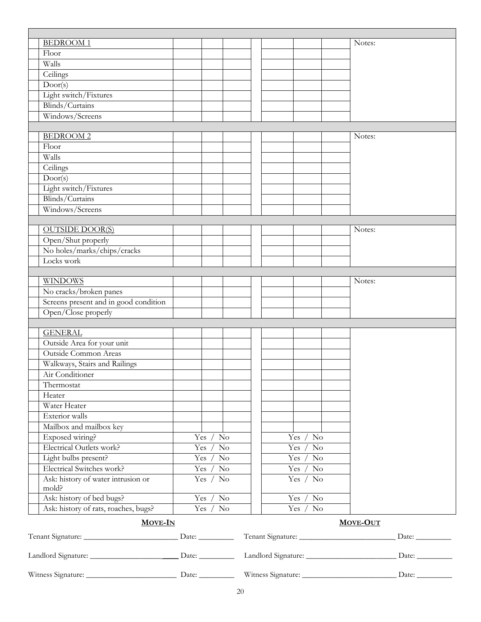| Floor<br>Walls<br>Ceilings<br>Door(s)<br>Light switch/Fixtures<br>Blinds/Curtains<br>Windows/Screens<br><b>BEDROOM2</b><br>Notes:<br>Floor<br>Walls<br>Ceilings<br>Door(s)<br>Light switch/Fixtures<br>Blinds/Curtains<br>Windows/Screens<br><b>OUTSIDE DOOR(S)</b><br>Notes:<br>Open/Shut properly<br>No holes/marks/chips/cracks<br>Locks work<br><b>WINDOWS</b><br>Notes:<br>No cracks/broken panes<br>Screens present and in good condition<br>Open/Close properly<br><b>GENERAL</b><br>Outside Area for your unit<br>Outside Common Areas<br>Walkways, Stairs and Railings<br>Air Conditioner<br>Thermostat<br>Heater<br>Water Heater<br>Exterior walls<br>Mailbox and mailbox key<br>Exposed wiring?<br>Yes $/$ No<br>Yes $/$ No<br>Electrical Outlets work?<br>Yes $/$ No<br>Yes $/$ No<br>Light bulbs present?<br>Yes /<br>$\rm No$<br>Yes $/$ No<br>Electrical Switches work?<br>Yes $/$<br>$\rm No$<br>Yes $/$<br>$\rm No$<br>Ask: history of water intrusion or<br>Yes / No<br>Yes $/$ No<br>mold?<br>Ask: history of bed bugs?<br>Yes $/$ No<br>Yes $/$ No<br>Ask: history of rats, roaches, bugs?<br>Yes $/$ No<br>Yes $/$ No<br><b>MOVE-IN</b><br><b>MOVE-OUT</b> |                 |  |  |  |        |
|---------------------------------------------------------------------------------------------------------------------------------------------------------------------------------------------------------------------------------------------------------------------------------------------------------------------------------------------------------------------------------------------------------------------------------------------------------------------------------------------------------------------------------------------------------------------------------------------------------------------------------------------------------------------------------------------------------------------------------------------------------------------------------------------------------------------------------------------------------------------------------------------------------------------------------------------------------------------------------------------------------------------------------------------------------------------------------------------------------------------------------------------------------------------------------|-----------------|--|--|--|--------|
|                                                                                                                                                                                                                                                                                                                                                                                                                                                                                                                                                                                                                                                                                                                                                                                                                                                                                                                                                                                                                                                                                                                                                                                 | <b>BEDROOM1</b> |  |  |  | Notes: |
|                                                                                                                                                                                                                                                                                                                                                                                                                                                                                                                                                                                                                                                                                                                                                                                                                                                                                                                                                                                                                                                                                                                                                                                 |                 |  |  |  |        |
|                                                                                                                                                                                                                                                                                                                                                                                                                                                                                                                                                                                                                                                                                                                                                                                                                                                                                                                                                                                                                                                                                                                                                                                 |                 |  |  |  |        |
|                                                                                                                                                                                                                                                                                                                                                                                                                                                                                                                                                                                                                                                                                                                                                                                                                                                                                                                                                                                                                                                                                                                                                                                 |                 |  |  |  |        |
|                                                                                                                                                                                                                                                                                                                                                                                                                                                                                                                                                                                                                                                                                                                                                                                                                                                                                                                                                                                                                                                                                                                                                                                 |                 |  |  |  |        |
|                                                                                                                                                                                                                                                                                                                                                                                                                                                                                                                                                                                                                                                                                                                                                                                                                                                                                                                                                                                                                                                                                                                                                                                 |                 |  |  |  |        |
|                                                                                                                                                                                                                                                                                                                                                                                                                                                                                                                                                                                                                                                                                                                                                                                                                                                                                                                                                                                                                                                                                                                                                                                 |                 |  |  |  |        |
|                                                                                                                                                                                                                                                                                                                                                                                                                                                                                                                                                                                                                                                                                                                                                                                                                                                                                                                                                                                                                                                                                                                                                                                 |                 |  |  |  |        |
|                                                                                                                                                                                                                                                                                                                                                                                                                                                                                                                                                                                                                                                                                                                                                                                                                                                                                                                                                                                                                                                                                                                                                                                 |                 |  |  |  |        |
|                                                                                                                                                                                                                                                                                                                                                                                                                                                                                                                                                                                                                                                                                                                                                                                                                                                                                                                                                                                                                                                                                                                                                                                 |                 |  |  |  |        |
|                                                                                                                                                                                                                                                                                                                                                                                                                                                                                                                                                                                                                                                                                                                                                                                                                                                                                                                                                                                                                                                                                                                                                                                 |                 |  |  |  |        |
|                                                                                                                                                                                                                                                                                                                                                                                                                                                                                                                                                                                                                                                                                                                                                                                                                                                                                                                                                                                                                                                                                                                                                                                 |                 |  |  |  |        |
|                                                                                                                                                                                                                                                                                                                                                                                                                                                                                                                                                                                                                                                                                                                                                                                                                                                                                                                                                                                                                                                                                                                                                                                 |                 |  |  |  |        |
|                                                                                                                                                                                                                                                                                                                                                                                                                                                                                                                                                                                                                                                                                                                                                                                                                                                                                                                                                                                                                                                                                                                                                                                 |                 |  |  |  |        |
|                                                                                                                                                                                                                                                                                                                                                                                                                                                                                                                                                                                                                                                                                                                                                                                                                                                                                                                                                                                                                                                                                                                                                                                 |                 |  |  |  |        |
|                                                                                                                                                                                                                                                                                                                                                                                                                                                                                                                                                                                                                                                                                                                                                                                                                                                                                                                                                                                                                                                                                                                                                                                 |                 |  |  |  |        |
|                                                                                                                                                                                                                                                                                                                                                                                                                                                                                                                                                                                                                                                                                                                                                                                                                                                                                                                                                                                                                                                                                                                                                                                 |                 |  |  |  |        |
|                                                                                                                                                                                                                                                                                                                                                                                                                                                                                                                                                                                                                                                                                                                                                                                                                                                                                                                                                                                                                                                                                                                                                                                 |                 |  |  |  |        |
|                                                                                                                                                                                                                                                                                                                                                                                                                                                                                                                                                                                                                                                                                                                                                                                                                                                                                                                                                                                                                                                                                                                                                                                 |                 |  |  |  |        |
|                                                                                                                                                                                                                                                                                                                                                                                                                                                                                                                                                                                                                                                                                                                                                                                                                                                                                                                                                                                                                                                                                                                                                                                 |                 |  |  |  |        |
|                                                                                                                                                                                                                                                                                                                                                                                                                                                                                                                                                                                                                                                                                                                                                                                                                                                                                                                                                                                                                                                                                                                                                                                 |                 |  |  |  |        |
|                                                                                                                                                                                                                                                                                                                                                                                                                                                                                                                                                                                                                                                                                                                                                                                                                                                                                                                                                                                                                                                                                                                                                                                 |                 |  |  |  |        |
|                                                                                                                                                                                                                                                                                                                                                                                                                                                                                                                                                                                                                                                                                                                                                                                                                                                                                                                                                                                                                                                                                                                                                                                 |                 |  |  |  |        |
|                                                                                                                                                                                                                                                                                                                                                                                                                                                                                                                                                                                                                                                                                                                                                                                                                                                                                                                                                                                                                                                                                                                                                                                 |                 |  |  |  |        |
|                                                                                                                                                                                                                                                                                                                                                                                                                                                                                                                                                                                                                                                                                                                                                                                                                                                                                                                                                                                                                                                                                                                                                                                 |                 |  |  |  |        |
|                                                                                                                                                                                                                                                                                                                                                                                                                                                                                                                                                                                                                                                                                                                                                                                                                                                                                                                                                                                                                                                                                                                                                                                 |                 |  |  |  |        |
|                                                                                                                                                                                                                                                                                                                                                                                                                                                                                                                                                                                                                                                                                                                                                                                                                                                                                                                                                                                                                                                                                                                                                                                 |                 |  |  |  |        |
|                                                                                                                                                                                                                                                                                                                                                                                                                                                                                                                                                                                                                                                                                                                                                                                                                                                                                                                                                                                                                                                                                                                                                                                 |                 |  |  |  |        |
|                                                                                                                                                                                                                                                                                                                                                                                                                                                                                                                                                                                                                                                                                                                                                                                                                                                                                                                                                                                                                                                                                                                                                                                 |                 |  |  |  |        |
|                                                                                                                                                                                                                                                                                                                                                                                                                                                                                                                                                                                                                                                                                                                                                                                                                                                                                                                                                                                                                                                                                                                                                                                 |                 |  |  |  |        |
|                                                                                                                                                                                                                                                                                                                                                                                                                                                                                                                                                                                                                                                                                                                                                                                                                                                                                                                                                                                                                                                                                                                                                                                 |                 |  |  |  |        |
|                                                                                                                                                                                                                                                                                                                                                                                                                                                                                                                                                                                                                                                                                                                                                                                                                                                                                                                                                                                                                                                                                                                                                                                 |                 |  |  |  |        |
|                                                                                                                                                                                                                                                                                                                                                                                                                                                                                                                                                                                                                                                                                                                                                                                                                                                                                                                                                                                                                                                                                                                                                                                 |                 |  |  |  |        |
|                                                                                                                                                                                                                                                                                                                                                                                                                                                                                                                                                                                                                                                                                                                                                                                                                                                                                                                                                                                                                                                                                                                                                                                 |                 |  |  |  |        |
|                                                                                                                                                                                                                                                                                                                                                                                                                                                                                                                                                                                                                                                                                                                                                                                                                                                                                                                                                                                                                                                                                                                                                                                 |                 |  |  |  |        |
|                                                                                                                                                                                                                                                                                                                                                                                                                                                                                                                                                                                                                                                                                                                                                                                                                                                                                                                                                                                                                                                                                                                                                                                 |                 |  |  |  |        |
|                                                                                                                                                                                                                                                                                                                                                                                                                                                                                                                                                                                                                                                                                                                                                                                                                                                                                                                                                                                                                                                                                                                                                                                 |                 |  |  |  |        |
|                                                                                                                                                                                                                                                                                                                                                                                                                                                                                                                                                                                                                                                                                                                                                                                                                                                                                                                                                                                                                                                                                                                                                                                 |                 |  |  |  |        |
|                                                                                                                                                                                                                                                                                                                                                                                                                                                                                                                                                                                                                                                                                                                                                                                                                                                                                                                                                                                                                                                                                                                                                                                 |                 |  |  |  |        |
|                                                                                                                                                                                                                                                                                                                                                                                                                                                                                                                                                                                                                                                                                                                                                                                                                                                                                                                                                                                                                                                                                                                                                                                 |                 |  |  |  |        |
|                                                                                                                                                                                                                                                                                                                                                                                                                                                                                                                                                                                                                                                                                                                                                                                                                                                                                                                                                                                                                                                                                                                                                                                 |                 |  |  |  |        |
|                                                                                                                                                                                                                                                                                                                                                                                                                                                                                                                                                                                                                                                                                                                                                                                                                                                                                                                                                                                                                                                                                                                                                                                 |                 |  |  |  |        |
|                                                                                                                                                                                                                                                                                                                                                                                                                                                                                                                                                                                                                                                                                                                                                                                                                                                                                                                                                                                                                                                                                                                                                                                 |                 |  |  |  |        |
|                                                                                                                                                                                                                                                                                                                                                                                                                                                                                                                                                                                                                                                                                                                                                                                                                                                                                                                                                                                                                                                                                                                                                                                 |                 |  |  |  |        |
|                                                                                                                                                                                                                                                                                                                                                                                                                                                                                                                                                                                                                                                                                                                                                                                                                                                                                                                                                                                                                                                                                                                                                                                 |                 |  |  |  |        |
|                                                                                                                                                                                                                                                                                                                                                                                                                                                                                                                                                                                                                                                                                                                                                                                                                                                                                                                                                                                                                                                                                                                                                                                 |                 |  |  |  |        |
|                                                                                                                                                                                                                                                                                                                                                                                                                                                                                                                                                                                                                                                                                                                                                                                                                                                                                                                                                                                                                                                                                                                                                                                 |                 |  |  |  |        |
|                                                                                                                                                                                                                                                                                                                                                                                                                                                                                                                                                                                                                                                                                                                                                                                                                                                                                                                                                                                                                                                                                                                                                                                 |                 |  |  |  |        |
|                                                                                                                                                                                                                                                                                                                                                                                                                                                                                                                                                                                                                                                                                                                                                                                                                                                                                                                                                                                                                                                                                                                                                                                 |                 |  |  |  |        |

| Landlord Signature: | Date: | Landlord Signature: | Date: |
|---------------------|-------|---------------------|-------|
| Witness Signature:  | Date: | Witness Signature:  | Date: |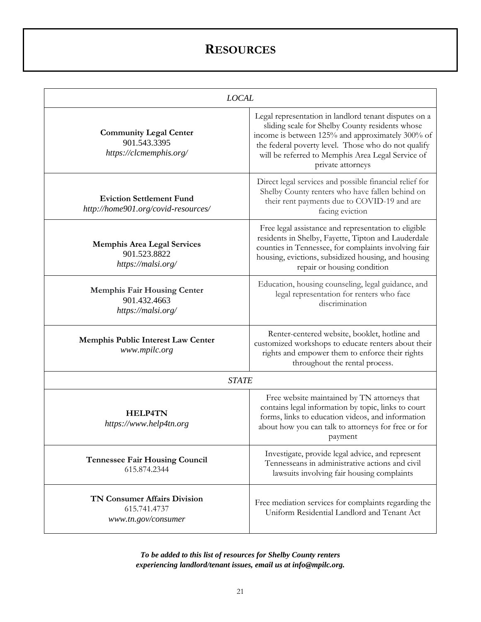# **RESOURCES**

|                                                                            | <b>LOCAL</b>                                                                                                                                                                                                                                                                                  |  |  |  |  |  |
|----------------------------------------------------------------------------|-----------------------------------------------------------------------------------------------------------------------------------------------------------------------------------------------------------------------------------------------------------------------------------------------|--|--|--|--|--|
| <b>Community Legal Center</b><br>901.543.3395<br>https://clcmemphis.org/   | Legal representation in landlord tenant disputes on a<br>sliding scale for Shelby County residents whose<br>income is between 125% and approximately 300% of<br>the federal poverty level. Those who do not qualify<br>will be referred to Memphis Area Legal Service of<br>private attorneys |  |  |  |  |  |
| <b>Eviction Settlement Fund</b><br>http://home901.org/covid-resources/     | Direct legal services and possible financial relief for<br>Shelby County renters who have fallen behind on<br>their rent payments due to COVID-19 and are<br>facing eviction                                                                                                                  |  |  |  |  |  |
| <b>Memphis Area Legal Services</b><br>901.523.8822<br>https://malsi.org/   | Free legal assistance and representation to eligible<br>residents in Shelby, Fayette, Tipton and Lauderdale<br>counties in Tennessee, for complaints involving fair<br>housing, evictions, subsidized housing, and housing<br>repair or housing condition                                     |  |  |  |  |  |
| <b>Memphis Fair Housing Center</b><br>901.432.4663<br>https://malsi.org/   | Education, housing counseling, legal guidance, and<br>legal representation for renters who face<br>discrimination                                                                                                                                                                             |  |  |  |  |  |
| Memphis Public Interest Law Center<br>www.mpilc.org                        | Renter-centered website, booklet, hotline and<br>customized workshops to educate renters about their<br>rights and empower them to enforce their rights<br>throughout the rental process.                                                                                                     |  |  |  |  |  |
| <b>STATE</b>                                                               |                                                                                                                                                                                                                                                                                               |  |  |  |  |  |
| <b>HELP4TN</b><br>https://www.help4tn.org                                  | Free website maintained by TN attorneys that<br>contains legal information by topic, links to court<br>forms, links to education videos, and information<br>about how you can talk to attorneys for free or for<br>payment                                                                    |  |  |  |  |  |
| <b>Tennessee Fair Housing Council</b><br>615.874.2344                      | Investigate, provide legal advice, and represent<br>Tennesseans in administrative actions and civil<br>lawsuits involving fair housing complaints                                                                                                                                             |  |  |  |  |  |
| <b>TN Consumer Affairs Division</b><br>615.741.4737<br>www.tn.gov/consumer | Free mediation services for complaints regarding the<br>Uniform Residential Landlord and Tenant Act                                                                                                                                                                                           |  |  |  |  |  |

*To be added to this list of resources for Shelby County renters experiencing landlord/tenant issues, email us at info@mpilc.org.*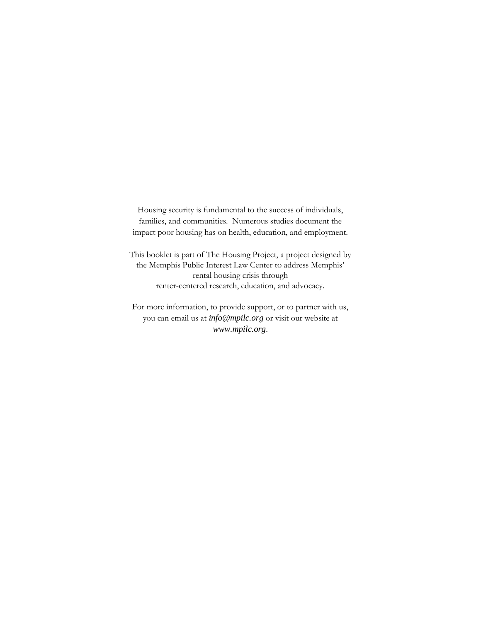Housing security is fundamental to the success of individuals, families, and communities. Numerous studies document the impact poor housing has on health, education, and employment.

This booklet is part of The Housing Project, a project designed by the Memphis Public Interest Law Center to address Memphis' rental housing crisis through renter-centered research, education, and advocacy.

For more information, to provide support, or to partner with us, you can email us at *[info@mpilc.org](mailto:info@mpilc.org)* or visit our website at *[www.mpilc.org](http://www.mpilc.org/)*.